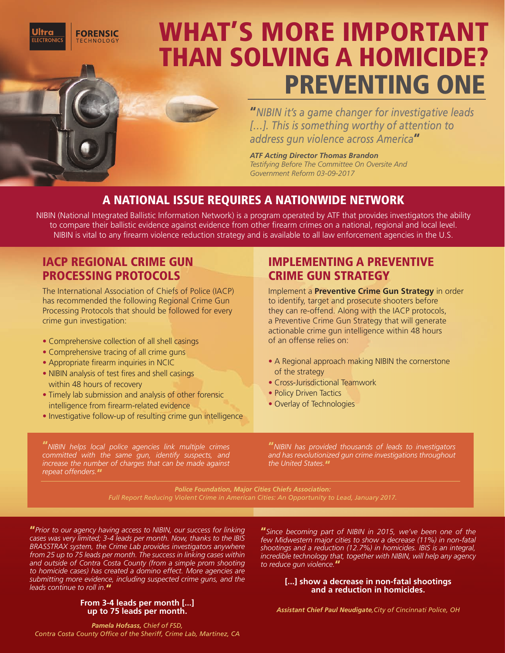**FORENSIC I FCTRONICS TECHNOLOGY** 

# WHAT'S MORE IMPORTANT THAN SOLVING A HOMICIDE? PREVENTING ONE

**"***NIBIN it's a game changer for investigative leads […]. This is something worthy of attention to address gun violence across America***"**

*ATF Acting Director Thomas Brandon Testifying Before The Committee On Oversite And Government Reform 03-09-2017*

## A NATIONAL ISSUE REQUIRES A NATIONWIDE NETWORK

NIBIN (National Integrated Ballistic Information Network) is a program operated by ATF that provides investigators the ability to compare their ballistic evidence against evidence from other firearm crimes on a national, regional and local level. NIBIN is vital to any firearm violence reduction strategy and is available to all law enforcement agencies in the U.S.

## IACP REGIONAL CRIME GUN PROCESSING PROTOCOLS

The International Association of Chiefs of Police (IACP) has recommended the following Regional Crime Gun Processing Protocols that should be followed for every crime gun investigation:

- Comprehensive collection of all shell casings
- Comprehensive tracing of all crime guns
- Appropriate firearm inquiries in NCIC
- NIBIN analysis of test fires and shell casings within 48 hours of recovery
- Timely lab submission and analysis of other forensic intelligence from firearm-related evidence
- Investigative follow-up of resulting crime gun intelligence

#### **"***NIBIN helps local police agencies link multiple crimes committed with the same gun, identify suspects, and increase the number of charges that can be made against repeat offenders.***"**

## IMPLEMENTING A PREVENTIVE CRIME GUN STRATEGY

Implement a **Preventive Crime Gun Strategy** in order to identify, target and prosecute shooters before they can re-offend. Along with the IACP protocols, a Preventive Crime Gun Strategy that will generate actionable crime gun intelligence within 48 hours of an offense relies on:

- A Regional approach making NIBIN the cornerstone of the strategy
- Cross-Jurisdictional Teamwork
- Policy Driven Tactics
- Overlay of Technologies

**"***NIBIN has provided thousands of leads to investigators and has revolutionized gun crime investigations throughout the United States.***"**

*Police Foundation, Major Cities Chiefs Association:* 

**"***Prior to our agency having access to NIBIN, our success for linking cases was very limited; 3-4 leads per month. Now, thanks to the IBIS BRASSTRAX system, the Crime Lab provides investigators anywhere from 25 up to 75 leads per month. The success in linking cases within and outside of Contra Costa County (from a simple prom shooting to homicide cases) has created a domino effect. More agencies are submitting more evidence, including suspected crime guns, and the leads continue to roll in.***"**

#### **From 3-4 leads per month [...] up to 75 leads per month.**

**"***Since becoming part of NIBIN in 2015, we've been one of the few Midwestern major cities to show a decrease (11%) in non-fatal shootings and a reduction (12.7%) in homicides. IBIS is an integral, incredible technology that, together with NIBIN, will help any agency to reduce gun violence.***"**

#### **[...] show a decrease in non-fatal shootings and a reduction in homicides.**

*Assistant Chief Paul Neudigate,City of Cincinnati Police, OH*

*Pamela Hofsass, Chief of FSD, Contra Costa County Office of the Sheriff, Crime Lab, Martinez, CA*